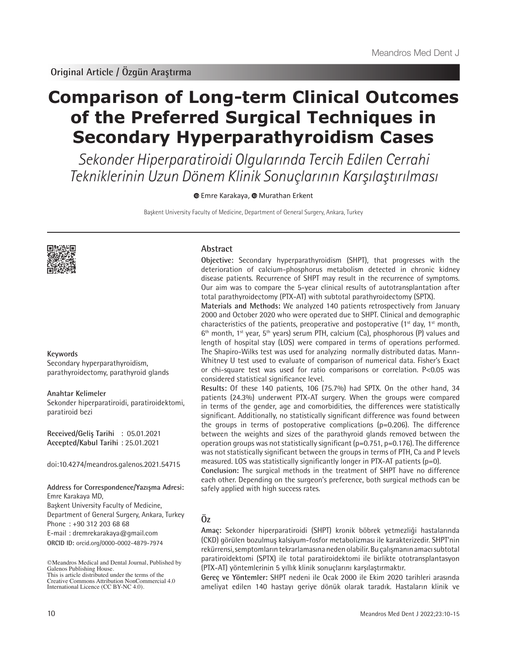# **Comparison of Long-term Clinical Outcomes of the Preferred Surgical Techniques in Secondary Hyperparathyroidism Cases**

Sekonder Hiperparatiroidi Olgularında Tercih Edilen Cerrahi Tekniklerinin Uzun Dönem Klinik Sonuçlarının Karşılaştırılması

**O**Emre Karakaya, **O** Murathan Erkent

Başkent University Faculty of Medicine, Department of General Surgery, Ankara, Turkey



#### **Keywords**

Secondary hyperparathyroidism, parathyroidectomy, parathyroid glands

#### **Anahtar Kelimeler**

Sekonder hiperparatiroidi, paratiroidektomi, paratiroid bezi

**Received/Geliş Tarihi** : 05.01.2021 **Accepted/Kabul Tarihi** : 25.01.2021

doi:10.4274/meandros.galenos.2021.54715

# **Address for Correspondence/Yazışma Adresi:**

**ORCID ID:** orcid.org/0000-0002-4879-7974 Emre Karakaya MD, Başkent University Faculty of Medicine, Department of General Surgery, Ankara, Turkey Phone : +90 312 203 68 68 E-mail : dremrekarakaya@gmail.com

©Meandros Medical and Dental Journal, Published by Galenos Publishing House. This is article distributed under the terms of the

#### **Abstract**

**Objective:** Secondary hyperparathyroidism (SHPT), that progresses with the deterioration of calcium-phosphorus metabolism detected in chronic kidney disease patients. Recurrence of SHPT may result in the recurrence of symptoms. Our aim was to compare the 5-year clinical results of autotransplantation after total parathyroidectomy (PTX-AT) with subtotal parathyroidectomy (SPTX).

**Materials and Methods:** We analyzed 140 patients retrospectively from January 2000 and October 2020 who were operated due to SHPT. Clinical and demographic characteristics of the patients, preoperative and postoperative  $(1^{st}$  day,  $1^{st}$  month,  $6<sup>th</sup>$  month, 1<sup>st</sup> year, 5<sup>th</sup> years) serum PTH, calcium (Ca), phosphorous (P) values and length of hospital stay (LOS) were compared in terms of operations performed. The Shapiro-Wilks test was used for analyzing normally distributed datas. Mann-Whitney U test used to evaluate of comparison of numerical data. Fisher's Exact or chi-square test was used for ratio comparisons or correlation. P<0.05 was considered statistical significance level.

**Results:** Of these 140 patients, 106 (75.7%) had SPTX. On the other hand, 34 patients (24.3%) underwent PTX-AT surgery. When the groups were compared in terms of the gender, age and comorbidities, the differences were statistically significant. Additionally, no statistically significant difference was found between the groups in terms of postoperative complications (p=0.206). The difference between the weights and sizes of the parathyroid glands removed between the operation groups was not statistically significant (p=0.751, p=0.176). The difference was not statistically significant between the groups in terms of PTH, Ca and P levels measured. LOS was statistically significantly longer in  $PTX-AT$  patients ( $p=0$ ).

**Conclusion:** The surgical methods in the treatment of SHPT have no difference each other. Depending on the surgeon's preference, both surgical methods can be safely applied with high success rates.

# **Öz**

**Amaç:** Sekonder hiperparatiroidi (SHPT) kronik böbrek yetmezliği hastalarında (CKD) görülen bozulmuş kalsiyum-fosfor metabolizması ile karakterizedir. SHPT'nin rekürrensi, semptomların tekrarlamasına neden olabilir. Bu çalışmanın amacı subtotal paratiroidektomi (SPTX) ile total paratiroidektomi ile birlikte ototransplantasyon (PTX-AT) yöntemlerinin 5 yıllık klinik sonuçlarını karşılaştırmaktır.

**Gereç ve Yöntemler:** SHPT nedeni ile Ocak 2000 ile Ekim 2020 tarihleri arasında ameliyat edilen 140 hastayı geriye dönük olarak taradık. Hastaların klinik ve

Creative Commons Attribution NonCommercial 4.0 International Licence (CC BY-NC 4.0).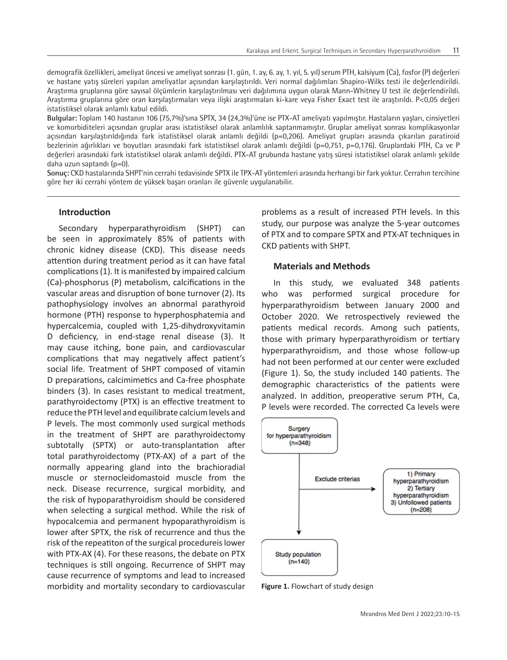demografik özellikleri, ameliyat öncesi ve ameliyat sonrası (1. gün, 1. ay, 6. ay, 1. yıl, 5. yıl) serum PTH, kalsiyum (Ca), fosfor (P) değerleri ve hastane yatış süreleri yapılan ameliyatlar açısından karşılaştırıldı. Veri normal dağılımları Shapiro-Wilks testi ile değerlendirildi. Araştırma gruplarına göre sayısal ölçümlerin karşılaştırılması veri dağılımına uygun olarak Mann-Whitney U test ile değerlendirildi. Araştırma gruplarına göre oran karşılaştırmaları veya ilişki araştırmaları ki-kare veya Fisher Exact test ile araştırıldı. P<0,05 değeri istatistiksel olarak anlamlı kabul edildi.

**Bulgular:** Toplam 140 hastanın 106 (75,7%)'sına SPTX, 34 (24,3%)'üne ise PTX-AT ameliyatı yapılmıştır. Hastaların yaşları, cinsiyetleri ve komorbiditeleri açısından gruplar arası istatistiksel olarak anlamlılık saptanmamıştır. Gruplar ameliyat sonrası komplikasyonlar açısından karşılaştırıldığında fark istatistiksel olarak anlamlı değildi (p=0,206). Ameliyat grupları arasında çıkarılan paratiroid bezlerinin ağırlıkları ve boyutları arasındaki fark istatistiksel olarak anlamlı değildi (p=0,751, p=0,176). Gruplardaki PTH, Ca ve P değerleri arasındaki fark istatistiksel olarak anlamlı değildi. PTX-AT grubunda hastane yatış süresi istatistiksel olarak anlamlı şekilde daha uzun saptandı (p=0).

**Sonuç:** CKD hastalarında SHPT'nin cerrahi tedavisinde SPTX ile TPX-AT yöntemleri arasında herhangi bir fark yoktur. Cerrahın tercihine göre her iki cerrahi yöntem de yüksek başarı oranları ile güvenle uygulanabilir.

## **Introduction**

Secondary hyperparathyroidism (SHPT) can be seen in approximately 85% of patients with chronic kidney disease (CKD). This disease needs attention during treatment period as it can have fatal complications (1). It is manifested by impaired calcium (Ca)-phosphorus (P) metabolism, calcifications in the vascular areas and disruption of bone turnover (2). Its pathophysiology involves an abnormal parathyroid hormone (PTH) response to hyperphosphatemia and hypercalcemia, coupled with 1,25-dihydroxyvitamin D deficiency, in end-stage renal disease (3). It may cause itching, bone pain, and cardiovascular complications that may negatively affect patient's social life. Treatment of SHPT composed of vitamin D preparations, calcimimetics and Ca-free phosphate binders (3). In cases resistant to medical treatment, parathyroidectomy (PTX) is an effective treatment to reduce the PTH level and equilibrate calcium levels and P levels. The most commonly used surgical methods in the treatment of SHPT are parathyroidectomy subtotally (SPTX) or auto-transplantation after total parathyroidectomy (PTX-AX) of a part of the normally appearing gland into the brachioradial muscle or sternocleidomastoid muscle from the neck. Disease recurrence, surgical morbidity, and the risk of hypoparathyroidism should be considered when selecting a surgical method. While the risk of hypocalcemia and permanent hypoparathyroidism is lower after SPTX, the risk of recurrence and thus the risk of the repeatiton of the surgical procedureis lower with PTX-AX (4). For these reasons, the debate on PTX techniques is still ongoing. Recurrence of SHPT may cause recurrence of symptoms and lead to increased morbidity and mortality secondary to cardiovascular

problems as a result of increased PTH levels. In this study, our purpose was analyze the 5-year outcomes of PTX and to compare SPTX and PTX-AT techniques in CKD patients with SHPT.

# **Materials and Methods**

In this study, we evaluated 348 patients who was performed surgical procedure for hyperparathyroidism between January 2000 and October 2020. We retrospectively reviewed the patients medical records. Among such patients, those with primary hyperparathyroidism or tertiary hyperparathyroidism, and those whose follow-up had not been performed at our center were excluded (Figure 1). So, the study included 140 patients. The demographic characteristics of the patients were analyzed. In addition, preoperative serum PTH, Ca, P levels were recorded. The corrected Ca levels were



**Figure 1.** Flowchart of study design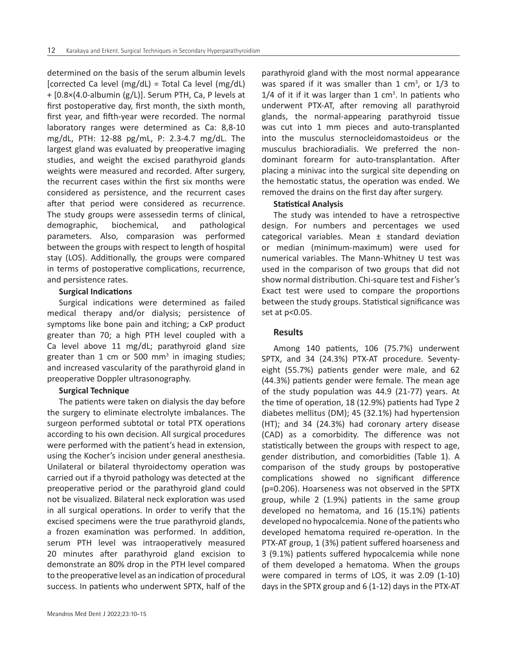determined on the basis of the serum albumin levels [corrected Ca level (mg/dL) = Total Ca level (mg/dL) + [0.8×(4.0-albumin (g/L)]. Serum PTH, Ca, P levels at first postoperative day, first month, the sixth month, first year, and fifth-year were recorded. The normal laboratory ranges were determined as Ca: 8,8-10 mg/dL, PTH: 12-88 pg/mL, P: 2.3-4.7 mg/dL. The largest gland was evaluated by preoperative imaging studies, and weight the excised parathyroid glands weights were measured and recorded. After surgery, the recurrent cases within the first six months were considered as persistence, and the recurrent cases after that period were considered as recurrence. The study groups were assessedin terms of clinical, demographic, biochemical, and pathological parameters. Also, comparasion was performed between the groups with respect to length of hospital stay (LOS). Additionally, the groups were compared in terms of postoperative complications, recurrence, and persistence rates.

## **Surgical Indications**

Surgical indications were determined as failed medical therapy and/or dialysis; persistence of symptoms like bone pain and itching; a CxP product greater than 70; a high PTH level coupled with a Ca level above 11 mg/dL; parathyroid gland size greater than 1 cm or 500 mm<sup>3</sup> in imaging studies; and increased vascularity of the parathyroid gland in preoperative Doppler ultrasonography.

# **Surgical Technique**

The patients were taken on dialysis the day before the surgery to eliminate electrolyte imbalances. The surgeon performed subtotal or total PTX operations according to his own decision. All surgical procedures were performed with the patient's head in extension, using the Kocher's incision under general anesthesia. Unilateral or bilateral thyroidectomy operation was carried out if a thyroid pathology was detected at the preoperative period or the parathyroid gland could not be visualized. Bilateral neck exploration was used in all surgical operations. In order to verify that the excised specimens were the true parathyroid glands, a frozen examination was performed. In addition, serum PTH level was intraoperatively measured 20 minutes after parathyroid gland excision to demonstrate an 80% drop in the PTH level compared to the preoperative level as an indication of procedural success. In patients who underwent SPTX, half of the

parathyroid gland with the most normal appearance was spared if it was smaller than 1  $cm<sup>3</sup>$ , or 1/3 to  $1/4$  of it if it was larger than 1 cm<sup>3</sup>. In patients who underwent PTX-AT, after removing all parathyroid glands, the normal-appearing parathyroid tissue was cut into 1 mm pieces and auto-transplanted into the musculus sternocleidomastoideus or the musculus brachioradialis. We preferred the nondominant forearm for auto-transplantation. After placing a minivac into the surgical site depending on the hemostatic status, the operation was ended. We removed the drains on the first day after surgery.

# **Statistical Analysis**

The study was intended to have a retrospective design. For numbers and percentages we used categorical variables. Mean  $\pm$  standard deviation or median (minimum-maximum) were used for numerical variables. The Mann-Whitney U test was used in the comparison of two groups that did not show normal distribution. Chi-square test and Fisher's Exact test were used to compare the proportions between the study groups. Statistical significance was set at p<0.05.

# **Results**

Among 140 patients, 106 (75.7%) underwent SPTX, and 34 (24.3%) PTX-AT procedure. Seventyeight (55.7%) patients gender were male, and 62 (44.3%) patients gender were female. The mean age of the study population was 44.9 (21-77) years. At the time of operation, 18 (12.9%) patients had Type 2 diabetes mellitus (DM); 45 (32.1%) had hypertension (HT); and 34 (24.3%) had coronary artery disease (CAD) as a comorbidity. The difference was not statistically between the groups with respect to age, gender distribution, and comorbidities (Table 1). A comparison of the study groups by postoperative complications showed no significant difference (p=0.206). Hoarseness was not observed in the SPTX group, while 2 (1.9%) patients in the same group developed no hematoma, and 16 (15.1%) patients developed no hypocalcemia. None of the patients who developed hematoma required re-operation. In the PTX-AT group, 1 (3%) patient suffered hoarseness and 3 (9.1%) patients suffered hypocalcemia while none of them developed a hematoma. When the groups were compared in terms of LOS, it was 2.09 (1-10) days in the SPTX group and 6 (1-12) days in the PTX-AT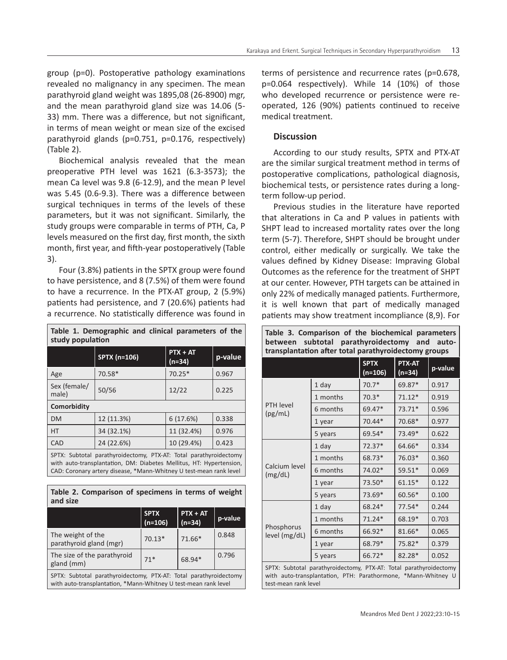group (p=0). Postoperative pathology examinations revealed no malignancy in any specimen. The mean parathyroid gland weight was 1895,08 (26-8900) mgr, and the mean parathyroid gland size was 14.06 (5- 33) mm. There was a difference, but not significant, in terms of mean weight or mean size of the excised parathyroid glands (p=0.751, p=0.176, respectively) (Table 2).

Biochemical analysis revealed that the mean preoperative PTH level was 1621 (6.3-3573); the mean Ca level was 9.8 (6-12.9), and the mean P level was 5.45 (0.6-9.3). There was a difference between surgical techniques in terms of the levels of these parameters, but it was not significant. Similarly, the study groups were comparable in terms of PTH, Ca, P levels measured on the first day, first month, the sixth month, first year, and fifth-year postoperatively (Table 3).

Four (3.8%) patients in the SPTX group were found to have persistence, and 8 (7.5%) of them were found to have a recurrence. In the PTX-AT group, 2 (5.9%) patients had persistence, and 7 (20.6%) patients had a recurrence. No statistically difference was found in

| Table 1. Demographic and clinical parameters of the<br>study population                                                                                                                                                                                                                              |                     |                        |         |  |  |  |  |
|------------------------------------------------------------------------------------------------------------------------------------------------------------------------------------------------------------------------------------------------------------------------------------------------------|---------------------|------------------------|---------|--|--|--|--|
|                                                                                                                                                                                                                                                                                                      | <b>SPTX (n=106)</b> | $PTX + AT$<br>$(n=34)$ | p-value |  |  |  |  |
| Age                                                                                                                                                                                                                                                                                                  | 70.58*              | $70.25*$               | 0.967   |  |  |  |  |
| Sex (female/<br>male)                                                                                                                                                                                                                                                                                | 50/56               | 12/22                  | 0.225   |  |  |  |  |
| Comorbidity                                                                                                                                                                                                                                                                                          |                     |                        |         |  |  |  |  |
| <b>DM</b>                                                                                                                                                                                                                                                                                            | 12 (11.3%)          | 6(17.6%)               | 0.338   |  |  |  |  |
| <b>HT</b>                                                                                                                                                                                                                                                                                            | 34 (32.1%)          | 11 (32.4%)             | 0.976   |  |  |  |  |
| CAD                                                                                                                                                                                                                                                                                                  | 24 (22.6%)          | 10 (29.4%)             | 0.423   |  |  |  |  |
| SPTX: Subtotal parathyroidectomy, PTX-AT: Total parathyroidectomy<br>$\sim$ . The state of the state of the state of the state of the state of the state of the state of the state of the state of the state of the state of the state of the state of the state of the state of the state of the st |                     |                        |         |  |  |  |  |

with auto-transplantation, DM: Diabetes Mellitus, HT: Hypertension, CAD: Coronary artery disease, \*Mann-Whitney U test-mean rank level

|          | Table 2. Comparison of specimens in terms of weight |  |  |  |
|----------|-----------------------------------------------------|--|--|--|
| and size |                                                     |  |  |  |

|                                                                                                                                      | <b>SPTX</b><br>$(n=106)$ | $PTX + AT$<br>$(n=34)$ | p-value |  |  |  |
|--------------------------------------------------------------------------------------------------------------------------------------|--------------------------|------------------------|---------|--|--|--|
| The weight of the<br>parathyroid gland (mgr)                                                                                         | $70.13*$                 | $71.66*$               | 0.848   |  |  |  |
| The size of the parathyroid<br>gland (mm)                                                                                            | $71*$                    | 68.94*                 | 0.796   |  |  |  |
| SPTX: Subtotal parathyroidectomy, PTX-AT: Total parathyroidectomy<br>with auto-transplantation, *Mann-Whitney U test-mean rank level |                          |                        |         |  |  |  |

terms of persistence and recurrence rates (p=0.678, p=0.064 respectively). While 14 (10%) of those who developed recurrence or persistence were reoperated, 126 (90%) patients continued to receive medical treatment.

## **Discussion**

According to our study results, SPTX and PTX-AT are the similar surgical treatment method in terms of postoperative complications, pathological diagnosis, biochemical tests, or persistence rates during a longterm follow-up period.

Previous studies in the literature have reported that alterations in Ca and P values in patients with SHPT lead to increased mortality rates over the long term (5-7). Therefore, SHPT should be brought under control, either medically or surgically. We take the values defined by Kidney Disease: Impraving Global Outcomes as the reference for the treatment of SHPT at our center. However, PTH targets can be attained in only 22% of medically managed patients. Furthermore, it is well known that part of medically managed patients may show treatment incompliance (8,9). For

**Table 3. Comparison of the biochemical parameters** 

**between subtotal parathyroidectomy and autotransplantation after total parathyroidectomy groups SPTX (n=106) PTX-AT (n=34) p-value** PTH level (pg/mL) 1 day 70.7\* 69.87\* 0.917 1 months 70.3\* 71.12\* 0.919 6 months 69.47\* 73.71\* 0.596 1 year 70.44\* 70.68\* 0.977 5 years 69.54\* 73.49\* 0.622 Calcium level (mg/dL) 1 day 72.37\* 64.66\* 0.334 1 months 68.73\* 76.03\* 0.360 6 months 74.02\* 59.51\* 0.069 1 year 73.50\* 61.15\* 0.122 5 years  $73.69*$  60.56\* 0.100 Phosphorus level (mg/dL) 1 day 68.24\* 77.54\* 0.244 1 months | 71.24 \* | 68.19 \* | 0.703 6 months  $\begin{array}{|l|c|c|c|c|c|c|c|} \hline \end{array}$  66.92\* | 81.66\* | 0.065 1 year | 68.79<sup>\*</sup> | 75.82<sup>\*</sup> | 0.379 5 years  $\begin{array}{|l|c|c|c|c|c|c|c|} \hline 66.72^* & 82.28^* & 0.052 \hline \end{array}$ SPTX: Subtotal parathyroidectomy, PTX-AT: Total parathyroidectomy with auto-transplantation, PTH: Parathormone, \*Mann-Whitney U test-mean rank level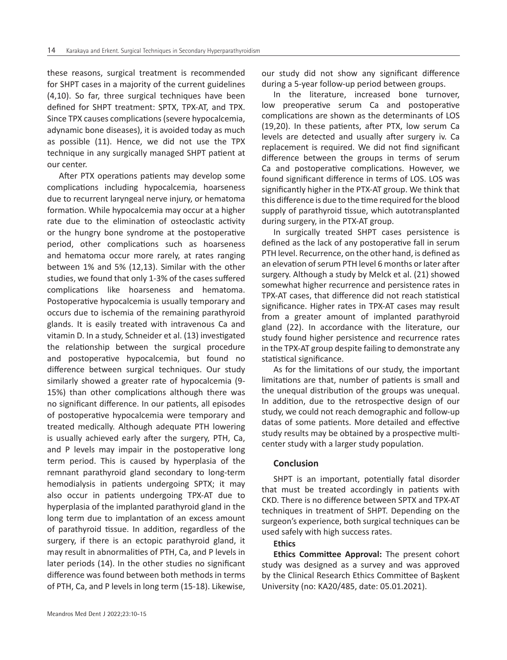these reasons, surgical treatment is recommended for SHPT cases in a majority of the current guidelines (4,10). So far, three surgical techniques have been defined for SHPT treatment: SPTX, TPX-AT, and TPX. Since TPX causes complications (severe hypocalcemia, adynamic bone diseases), it is avoided today as much as possible (11). Hence, we did not use the TPX technique in any surgically managed SHPT patient at our center.

After PTX operations patients may develop some complications including hypocalcemia, hoarseness due to recurrent laryngeal nerve injury, or hematoma formation. While hypocalcemia may occur at a higher rate due to the elimination of osteoclastic activity or the hungry bone syndrome at the postoperative period, other complications such as hoarseness and hematoma occur more rarely, at rates ranging between 1% and 5% (12,13). Similar with the other studies, we found that only 1-3% of the cases suffered complications like hoarseness and hematoma. Postoperative hypocalcemia is usually temporary and occurs due to ischemia of the remaining parathyroid glands. It is easily treated with intravenous Ca and vitamin D. In a study, Schneider et al. (13) investigated the relationship between the surgical procedure and postoperative hypocalcemia, but found no difference between surgical techniques. Our study similarly showed a greater rate of hypocalcemia (9- 15%) than other complications although there was no significant difference. In our patients, all episodes of postoperative hypocalcemia were temporary and treated medically. Although adequate PTH lowering is usually achieved early after the surgery, PTH, Ca, and P levels may impair in the postoperative long term period. This is caused by hyperplasia of the remnant parathyroid gland secondary to long-term hemodialysis in patients undergoing SPTX; it may also occur in patients undergoing TPX-AT due to hyperplasia of the implanted parathyroid gland in the long term due to implantation of an excess amount of parathyroid tissue. In addition, regardless of the surgery, if there is an ectopic parathyroid gland, it may result in abnormalities of PTH, Ca, and P levels in later periods (14). In the other studies no significant difference was found between both methods in terms of PTH, Ca, and P levels in long term (15-18). Likewise,

our study did not show any significant difference during a 5-year follow-up period between groups.

In the literature, increased bone turnover, low preoperative serum Ca and postoperative complications are shown as the determinants of LOS (19,20). In these patients, after PTX, low serum Ca levels are detected and usually after surgery iv. Ca replacement is required. We did not find significant difference between the groups in terms of serum Ca and postoperative complications. However, we found significant difference in terms of LOS. LOS was significantly higher in the PTX-AT group. We think that this difference is due to the time required for the blood supply of parathyroid tissue, which autotransplanted during surgery, in the PTX-AT group.

In surgically treated SHPT cases persistence is defined as the lack of any postoperative fall in serum PTH level. Recurrence, on the other hand, is defined as an elevation of serum PTH level 6 months or later after surgery. Although a study by Melck et al. (21) showed somewhat higher recurrence and persistence rates in TPX-AT cases, that difference did not reach statistical significance. Higher rates in TPX-AT cases may result from a greater amount of implanted parathyroid gland (22). In accordance with the literature, our study found higher persistence and recurrence rates in the TPX-AT group despite failing to demonstrate any statistical significance.

As for the limitations of our study, the important limitations are that, number of patients is small and the unequal distribution of the groups was unequal. In addition, due to the retrospective design of our study, we could not reach demographic and follow-up datas of some patients. More detailed and effective study results may be obtained by a prospective multicenter study with a larger study population.

#### **Conclusion**

SHPT is an important, potentially fatal disorder that must be treated accordingly in patients with CKD. There is no difference between SPTX and TPX-AT techniques in treatment of SHPT. Depending on the surgeon's experience, both surgical techniques can be used safely with high success rates.

#### **Ethics**

**Ethics Committee Approval:** The present cohort study was designed as a survey and was approved by the Clinical Research Ethics Committee of Başkent University (no: KA20/485, date: 05.01.2021).